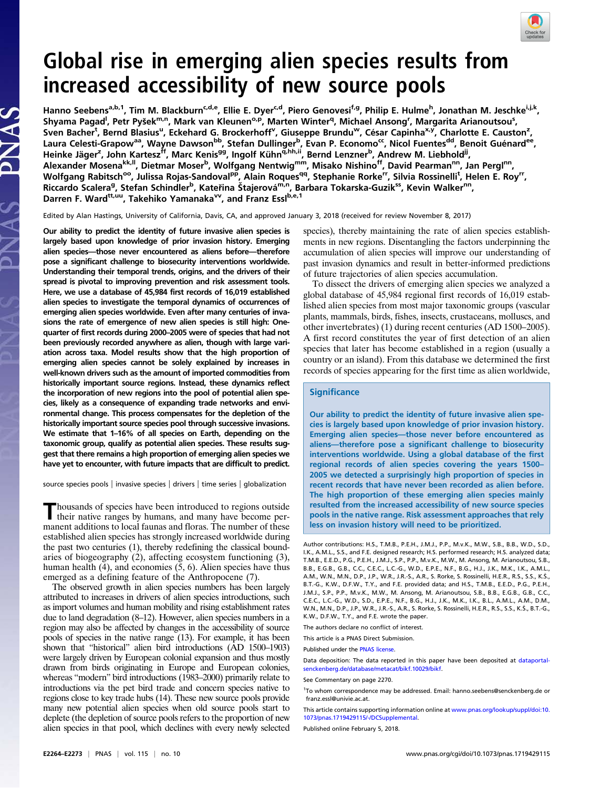

# Global rise in emerging alien species results from increased accessibility of new source pools

Hanno Seebens<sup>a,b,1</sup>, Tim M. Blackburn<sup>c,d,e</sup>, Ellie E. Dyer<sup>c,d</sup>, Piero Genovesi<sup>f,g</sup>, Philip E. Hulme<sup>h</sup>, Jonathan M. Jeschke<sup>i,j,k</sup>, Shyama Pagad<sup>l</sup>, Petr Pyšek<sup>m,n</sup>, Mark van Kleunen<sup>o,p</sup>, Marten Winter<sup>q</sup>, Michael Ansong<sup>r</sup>, Margarita Arianoutsou<sup>s</sup>, Sven Bacher<sup>t</sup>, Bernd Blasius<sup>u</sup>, Eckehard G. Brockerhoff<sup>v</sup>, Giuseppe Brundu<sup>w</sup>, César Capinha<sup>x,y</sup>, Charlotte E. Causton<sup>z</sup>, Laura Celesti-Grapow<sup>aa</sup>, Wayne Dawson<sup>bb</sup>, Stefan Dullinger<sup>b</sup>, Evan P. Economo<sup>cc</sup>, Nicol Fuentes<sup>dd</sup>, Benoit Guénard<sup>ee</sup>, Heinke Jäger<sup>z</sup>, John Kartesz<sup>if</sup>, Marc Kenis<sup>gg</sup>, Ingolf Kühn<sup>q,hh,ii</sup>, Bernd Lenzner<sup>b</sup>, Andrew M. Liebhold<sup>ji</sup>, Alexander Mosena<sup>kk, I</sup>, Dietmar Moser<sup>b</sup>, Wolfgang Nentwig<sup>mm</sup>, Misako Nishino<sup>ff</sup>, David Pearman<sup>nn</sup>, Jan Pergl<sup>nn</sup>, Wolfgang Rabitsch<sup>oo</sup>, Julissa Rojas-Sandoval<sup>pp</sup>, Alain Roques<sup>qq</sup>, Stephanie Rorke<sup>rr</sup>, Silvia Rossinelli<sup>t</sup>, Helen E. Roy<sup>rr</sup>, Riccardo Scalera<sup>g</sup>, Stefan Schindler<sup>b</sup>, Kateřina Štajerová<sup>m,n</sup>, Barbara Tokarska-Guzik<sup>ss</sup>, Kevin Walker<sup>nn</sup>, Darren F. Ward<sup>tt,uu</sup>, Takehiko Yamanaka<sup>vv</sup>, and Franz Essl<sup>b,e,1</sup>

Edited by Alan Hastings, University of California, Davis, CA, and approved January 3, 2018 (received for review November 8, 2017)

Our ability to predict the identity of future invasive alien species is largely based upon knowledge of prior invasion history. Emerging alien species—those never encountered as aliens before—therefore pose a significant challenge to biosecurity interventions worldwide. Understanding their temporal trends, origins, and the drivers of their spread is pivotal to improving prevention and risk assessment tools. Here, we use a database of 45,984 first records of 16,019 established alien species to investigate the temporal dynamics of occurrences of emerging alien species worldwide. Even after many centuries of invasions the rate of emergence of new alien species is still high: Onequarter of first records during 2000–2005 were of species that had not been previously recorded anywhere as alien, though with large variation across taxa. Model results show that the high proportion of emerging alien species cannot be solely explained by increases in well-known drivers such as the amount of imported commodities from historically important source regions. Instead, these dynamics reflect the incorporation of new regions into the pool of potential alien species, likely as a consequence of expanding trade networks and environmental change. This process compensates for the depletion of the historically important source species pool through successive invasions. We estimate that 1–16% of all species on Earth, depending on the taxonomic group, qualify as potential alien species. These results suggest that there remains a high proportion of emerging alien species we have yet to encounter, with future impacts that are difficult to predict.

source species pools | invasive species | drivers | time series | globalization

Thousands of species have been introduced to regions outside their native ranges by humans, and many have become permanent additions to local faunas and floras. The number of these established alien species has strongly increased worldwide during the past two centuries (1), thereby redefining the classical boundaries of biogeography (2), affecting ecosystem functioning (3), human health (4), and economies (5, 6). Alien species have thus emerged as a defining feature of the Anthropocene (7).

The observed growth in alien species numbers has been largely attributed to increases in drivers of alien species introductions, such as import volumes and human mobility and rising establishment rates due to land degradation (8–12). However, alien species numbers in a region may also be affected by changes in the accessibility of source pools of species in the native range (13). For example, it has been shown that "historical" alien bird introductions (AD 1500–1903) were largely driven by European colonial expansion and thus mostly drawn from birds originating in Europe and European colonies, whereas "modern" bird introductions (1983–2000) primarily relate to introductions via the pet bird trade and concern species native to regions close to key trade hubs (14). These new source pools provide many new potential alien species when old source pools start to deplete (the depletion of source pools refers to the proportion of new alien species in that pool, which declines with every newly selected species), thereby maintaining the rate of alien species establishments in new regions. Disentangling the factors underpinning the accumulation of alien species will improve our understanding of past invasion dynamics and result in better-informed predictions of future trajectories of alien species accumulation.

To dissect the drivers of emerging alien species we analyzed a global database of 45,984 regional first records of 16,019 established alien species from most major taxonomic groups (vascular plants, mammals, birds, fishes, insects, crustaceans, molluscs, and other invertebrates) (1) during recent centuries (AD 1500–2005). A first record constitutes the year of first detection of an alien species that later has become established in a region (usually a country or an island). From this database we determined the first records of species appearing for the first time as alien worldwide,

### **Significance**

Our ability to predict the identity of future invasive alien species is largely based upon knowledge of prior invasion history. Emerging alien species—those never before encountered as aliens—therefore pose a significant challenge to biosecurity interventions worldwide. Using a global database of the first regional records of alien species covering the years 1500– 2005 we detected a surprisingly high proportion of species in recent records that have never been recorded as alien before. The high proportion of these emerging alien species mainly resulted from the increased accessibility of new source species pools in the native range. Risk assessment approaches that rely less on invasion history will need to be prioritized.

Author contributions: H.S., T.M.B., P.E.H., J.M.J., P.P., M.v.K., M.W., S.B., B.B., W.D., S.D., I.K., A.M.L., S.S., and F.E. designed research; H.S. performed research; H.S. analyzed data; T.M.B., E.E.D., P.G., P.E.H., J.M.J., S.P., P.P., M.v.K., M.W., M. Ansong, M. Arianoutsou, S.B., B.B., E.G.B., G.B., C.C., C.E.C., L.C.-G., W.D., E.P.E., N.F., B.G., H.J., J.K., M.K., I.K., A.M.L., A.M., W.N., M.N., D.P., J.P., W.R., J.R.-S., A.R., S. Rorke, S. Rossinelli, H.E.R., R.S., S.S., K.S., B.T.-G., K.W., D.F.W., T.Y., and F.E. provided data; and H.S., T.M.B., E.E.D., P.G., P.E.H., J.M.J., S.P., P.P., M.v.K., M.W., M. Ansong, M. Arianoutsou, S.B., B.B., E.G.B., G.B., C.C., C.E.C., L.C.-G., W.D., S.D., E.P.E., N.F., B.G., H.J., J.K., M.K., I.K., B.L., A.M.L., A.M., D.M., W.N., M.N., D.P., J.P., W.R., J.R.-S., A.R., S. Rorke, S. Rossinelli, H.E.R., R.S., S.S., K.S., B.T.-G., K.W., D.F.W., T.Y., and F.E. wrote the paper.

The authors declare no conflict of interest.

This article is a PNAS Direct Submission.

Published under the [PNAS license](http://www.pnas.org/site/aboutpnas/licenses.xhtml).

Data deposition: The data reported in this paper have been deposited at [dataportal](http://dataportal-senckenberg.de/database/metacat/bikf.10029/bikf)[senckenberg.de/database/metacat/bikf.10029/bikf](http://dataportal-senckenberg.de/database/metacat/bikf.10029/bikf).

See Commentary on page 2270.

<sup>1</sup>To whom correspondence may be addressed. Email: [hanno.seebens@senckenberg.de](mailto:hanno.seebens@senckenberg.de) or [franz.essl@univie.ac.at.](mailto:franz.essl@univie.ac.at)

This article contains supporting information online at [www.pnas.org/lookup/suppl/doi:10.](http://www.pnas.org/lookup/suppl/doi:10.1073/pnas.1719429115/-/DCSupplemental) [1073/pnas.1719429115/-/DCSupplemental.](http://www.pnas.org/lookup/suppl/doi:10.1073/pnas.1719429115/-/DCSupplemental)

Published online February 5, 2018.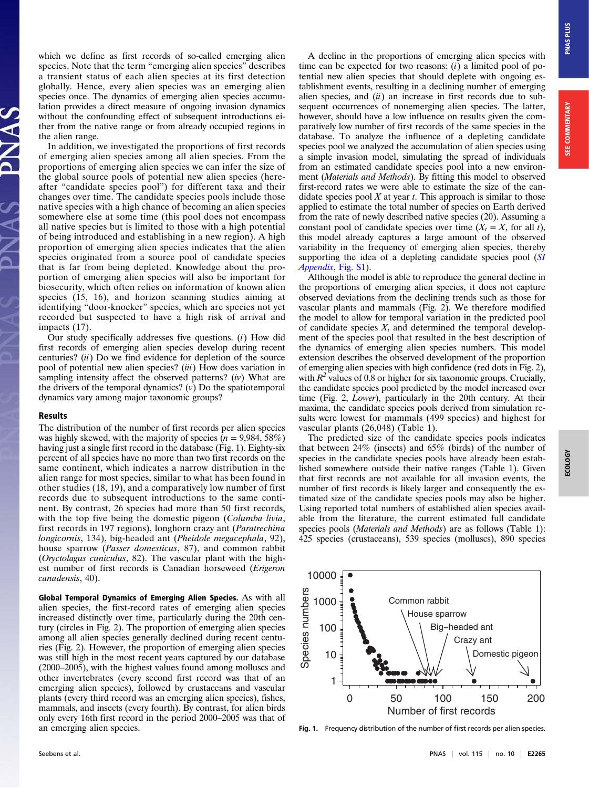which we define as first records of so-called emerging alien species. Note that the term "emerging alien species" describes a transient status of each alien species at its first detection globally. Hence, every alien species was an emerging alien species once. The dynamics of emerging alien species accumulation provides a direct measure of ongoing invasion dynamics without the confounding effect of subsequent introductions either from the native range or from already occupied regions in the alien range.

In addition, we investigated the proportions of first records of emerging alien species among all alien species. From the proportions of emerging alien species we can infer the size of the global source pools of potential new alien species (hereafter "candidate species pool") for different taxa and their changes over time. The candidate species pools include those native species with a high chance of becoming an alien species somewhere else at some time (this pool does not encompass all native species but is limited to those with a high potential of being introduced and establishing in a new region). A high proportion of emerging alien species indicates that the alien species originated from a source pool of candidate species that is far from being depleted. Knowledge about the proportion of emerging alien species will also be important for biosecurity, which often relies on information of known alien species (15, 16), and horizon scanning studies aiming at identifying "door-knocker" species, which are species not yet recorded but suspected to have a high risk of arrival and impacts (17).

Our study specifically addresses five questions. (i) How did first records of emerging alien species develop during recent centuries?  $(ii)$  Do we find evidence for depletion of the source pool of potential new alien species? (iii) How does variation in sampling intensity affect the observed patterns?  $(iv)$  What are the drivers of the temporal dynamics?  $(v)$  Do the spatiotemporal dynamics vary among major taxonomic groups?

# Results

The distribution of the number of first records per alien species was highly skewed, with the majority of species ( $n = 9,984,58\%$ ) having just a single first record in the database (Fig. 1). Eighty-six percent of all species have no more than two first records on the same continent, which indicates a narrow distribution in the alien range for most species, similar to what has been found in other studies (18, 19), and a comparatively low number of first records due to subsequent introductions to the same continent. By contrast, 26 species had more than 50 first records, with the top five being the domestic pigeon (Columba livia, first records in 197 regions), longhorn crazy ant (Paratrechina longicornis, 134), big-headed ant (Pheidole megacephala, 92), house sparrow (Passer domesticus, 87), and common rabbit (Oryctolagus cuniculus, 82). The vascular plant with the highest number of first records is Canadian horseweed (Erigeron canadensis, 40).

Global Temporal Dynamics of Emerging Alien Species. As with all alien species, the first-record rates of emerging alien species increased distinctly over time, particularly during the 20th century (circles in Fig. 2). The proportion of emerging alien species among all alien species generally declined during recent centuries (Fig. 2). However, the proportion of emerging alien species was still high in the most recent years captured by our database (2000–2005), with the highest values found among molluscs and other invertebrates (every second first record was that of an emerging alien species), followed by crustaceans and vascular plants (every third record was an emerging alien species), fishes, mammals, and insects (every fourth). By contrast, for alien birds only every 16th first record in the period 2000–2005 was that of an emerging alien species.

A decline in the proportions of emerging alien species with time can be expected for two reasons:  $(i)$  a limited pool of potential new alien species that should deplete with ongoing establishment events, resulting in a declining number of emerging alien species, and  $(ii)$  an increase in first records due to subsequent occurrences of nonemerging alien species. The latter, however, should have a low influence on results given the comparatively low number of first records of the same species in the database. To analyze the influence of a depleting candidate species pool we analyzed the accumulation of alien species using a simple invasion model, simulating the spread of individuals from an estimated candidate species pool into a new environment (Materials and Methods). By fitting this model to observed first-record rates we were able to estimate the size of the candidate species pool  $X$  at year  $t$ . This approach is similar to those applied to estimate the total number of species on Earth derived from the rate of newly described native species (20). Assuming a constant pool of candidate species over time  $(X_t = X, \text{ for all } t)$ , this model already captures a large amount of the observed variability in the frequency of emerging alien species, thereby supporting the idea of a depleting candidate species pool ([SI](http://www.pnas.org/lookup/suppl/doi:10.1073/pnas.1719429115/-/DCSupplemental) [Appendix](http://www.pnas.org/lookup/suppl/doi:10.1073/pnas.1719429115/-/DCSupplemental), Fig. S1).

Although the model is able to reproduce the general decline in the proportions of emerging alien species, it does not capture observed deviations from the declining trends such as those for vascular plants and mammals (Fig. 2). We therefore modified the model to allow for temporal variation in the predicted pool of candidate species  $X_t$  and determined the temporal development of the species pool that resulted in the best description of the dynamics of emerging alien species numbers. This model extension describes the observed development of the proportion of emerging alien species with high confidence (red dots in Fig. 2), with  $R^2$  values of 0.8 or higher for six taxonomic groups. Crucially, the candidate species pool predicted by the model increased over time (Fig. 2, Lower), particularly in the 20th century. At their maxima, the candidate species pools derived from simulation results were lowest for mammals (499 species) and highest for vascular plants (26,048) (Table 1).

The predicted size of the candidate species pools indicates that between 24% (insects) and 65% (birds) of the number of species in the candidate species pools have already been established somewhere outside their native ranges (Table 1). Given that first records are not available for all invasion events, the number of first records is likely larger and consequently the estimated size of the candidate species pools may also be higher. Using reported total numbers of established alien species available from the literature, the current estimated full candidate species pools (*Materials and Methods*) are as follows (Table 1): 425 species (crustaceans), 539 species (molluscs), 890 species



Fig. 1. Frequency distribution of the number of first records per alien species.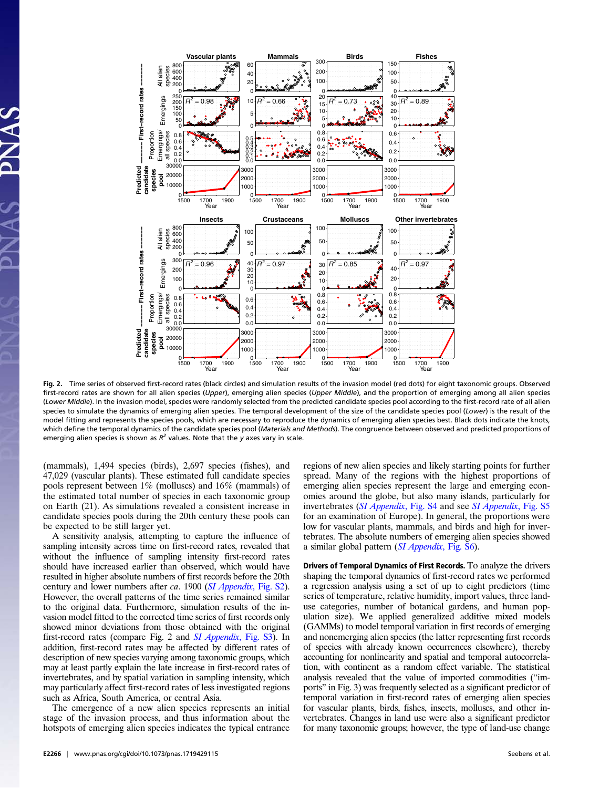

Fig. 2. Time series of observed first-record rates (black circles) and simulation results of the invasion model (red dots) for eight taxonomic groups. Observed first-record rates are shown for all alien species (Upper), emerging alien species (Upper Middle), and the proportion of emerging among all alien species (Lower Middle). In the invasion model, species were randomly selected from the predicted candidate species pool according to the first-record rate of all alien species to simulate the dynamics of emerging alien species. The temporal development of the size of the candidate species pool (Lower) is the result of the model fitting and represents the species pools, which are necessary to reproduce the dynamics of emerging alien species best. Black dots indicate the knots, which define the temporal dynamics of the candidate species pool (Materials and Methods). The congruence between observed and predicted proportions of emerging alien species is shown as  $R^2$  values. Note that the y axes vary in scale.

(mammals), 1,494 species (birds), 2,697 species (fishes), and 47,029 (vascular plants). These estimated full candidate species pools represent between 1% (molluscs) and 16% (mammals) of the estimated total number of species in each taxonomic group on Earth (21). As simulations revealed a consistent increase in candidate species pools during the 20th century these pools can be expected to be still larger yet.

A sensitivity analysis, attempting to capture the influence of sampling intensity across time on first-record rates, revealed that without the influence of sampling intensity first-record rates should have increased earlier than observed, which would have resulted in higher absolute numbers of first records before the 20th century and lower numbers after ca. 1900 ([SI Appendix](http://www.pnas.org/lookup/suppl/doi:10.1073/pnas.1719429115/-/DCSupplemental), Fig. S2). However, the overall patterns of the time series remained similar to the original data. Furthermore, simulation results of the invasion model fitted to the corrected time series of first records only showed minor deviations from those obtained with the original first-record rates (compare Fig. 2 and [SI Appendix](http://www.pnas.org/lookup/suppl/doi:10.1073/pnas.1719429115/-/DCSupplemental), Fig. S3). In addition, first-record rates may be affected by different rates of description of new species varying among taxonomic groups, which may at least partly explain the late increase in first-record rates of invertebrates, and by spatial variation in sampling intensity, which may particularly affect first-record rates of less investigated regions such as Africa, South America, or central Asia.

The emergence of a new alien species represents an initial stage of the invasion process, and thus information about the hotspots of emerging alien species indicates the typical entrance regions of new alien species and likely starting points for further spread. Many of the regions with the highest proportions of emerging alien species represent the large and emerging economies around the globe, but also many islands, particularly for invertebrates *([SI Appendix](http://www.pnas.org/lookup/suppl/doi:10.1073/pnas.1719429115/-/DCSupplemental), Fig. S4 and see SI Appendix, Fig. S5* for an examination of Europe). In general, the proportions were low for vascular plants, mammals, and birds and high for invertebrates. The absolute numbers of emerging alien species showed a similar global pattern ([SI Appendix](http://www.pnas.org/lookup/suppl/doi:10.1073/pnas.1719429115/-/DCSupplemental), Fig. S6).

Drivers of Temporal Dynamics of First Records. To analyze the drivers shaping the temporal dynamics of first-record rates we performed a regression analysis using a set of up to eight predictors (time series of temperature, relative humidity, import values, three landuse categories, number of botanical gardens, and human population size). We applied generalized additive mixed models (GAMMs) to model temporal variation in first records of emerging and nonemerging alien species (the latter representing first records of species with already known occurrences elsewhere), thereby accounting for nonlinearity and spatial and temporal autocorrelation, with continent as a random effect variable. The statistical analysis revealed that the value of imported commodities ("imports" in Fig. 3) was frequently selected as a significant predictor of temporal variation in first-record rates of emerging alien species for vascular plants, birds, fishes, insects, molluscs, and other invertebrates. Changes in land use were also a significant predictor for many taxonomic groups; however, the type of land-use change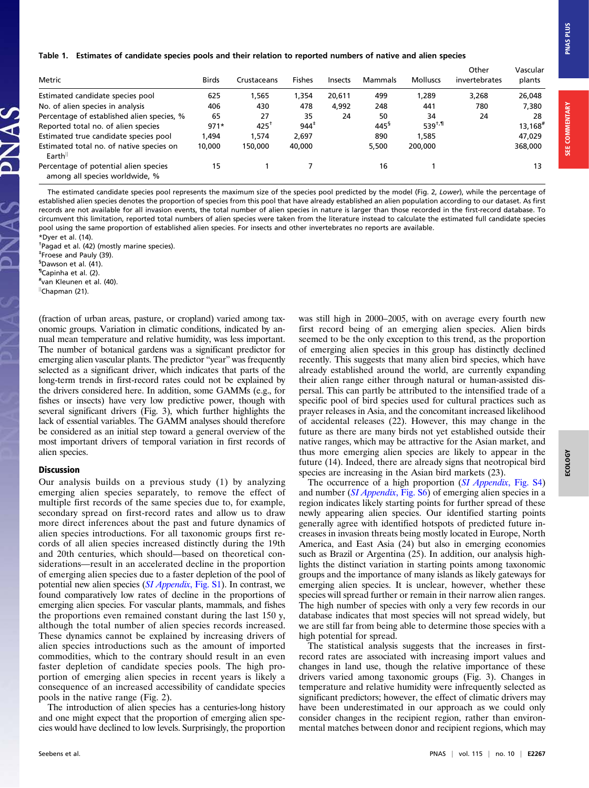#### Table 1. Estimates of candidate species pools and their relation to reported numbers of native and alien species

| Metric                                                                  | <b>Birds</b> | Crustaceans     | <b>Fishes</b>    | <b>Insects</b> | Mammals             | <b>Molluscs</b> | Other<br>invertebrates | Vascular<br>plants    |
|-------------------------------------------------------------------------|--------------|-----------------|------------------|----------------|---------------------|-----------------|------------------------|-----------------------|
| Estimated candidate species pool                                        | 625          | .565            | 1,354            | 20.611         | 499                 | 1,289           | 3.268                  | 26,048                |
| No. of alien species in analysis                                        | 406          | 430             | 478              | 4.992          | 248                 | 441             | 780                    | 7,380                 |
| Percentage of established alien species, %                              | 65           | 27              | 35               | 24             | 50                  | 34              | 24                     | 28                    |
| Reported total no. of alien species                                     | $971*$       | $425^{\dagger}$ | $944^{\ddagger}$ |                | $445^{\frac{5}{2}}$ | $539^{+,1}$     |                        | $13,168$ <sup>#</sup> |
| Estimated true candidate species pool                                   | 1.494        | 1.574           | 2.697            |                | 890                 | 1.585           |                        | 47.029                |
| Estimated total no. of native species on<br>Earth                       | 10,000       | 150,000         | 40,000           |                | 5.500               | 200,000         |                        | 368,000               |
| Percentage of potential alien species<br>among all species worldwide, % | 15           |                 |                  |                | 16                  |                 |                        | 13                    |

The estimated candidate species pool represents the maximum size of the species pool predicted by the model (Fig. 2, Lower), while the percentage of established alien species denotes the proportion of species from this pool that have already established an alien population according to our dataset. As first records are not available for all invasion events, the total number of alien species in nature is larger than those recorded in the first-record database. To circumvent this limitation, reported total numbers of alien species were taken from the literature instead to calculate the estimated full candidate species pool using the same proportion of established alien species. For insects and other invertebrates no reports are available. \*Dyer et al. (14).

† Pagad et al. (42) (mostly marine species).

‡ Froese and Pauly (39).

§ Dawson et al. (41).

¶ Capinha et al. (2).

# van Kleunen et al. (40).

lchapman (21).

(fraction of urban areas, pasture, or cropland) varied among taxonomic groups. Variation in climatic conditions, indicated by annual mean temperature and relative humidity, was less important. The number of botanical gardens was a significant predictor for emerging alien vascular plants. The predictor "year" was frequently selected as a significant driver, which indicates that parts of the long-term trends in first-record rates could not be explained by the drivers considered here. In addition, some GAMMs (e.g., for fishes or insects) have very low predictive power, though with several significant drivers (Fig. 3), which further highlights the lack of essential variables. The GAMM analyses should therefore be considered as an initial step toward a general overview of the most important drivers of temporal variation in first records of alien species.

# Discussion

Our analysis builds on a previous study (1) by analyzing emerging alien species separately, to remove the effect of multiple first records of the same species due to, for example, secondary spread on first-record rates and allow us to draw more direct inferences about the past and future dynamics of alien species introductions. For all taxonomic groups first records of all alien species increased distinctly during the 19th and 20th centuries, which should—based on theoretical considerations—result in an accelerated decline in the proportion of emerging alien species due to a faster depletion of the pool of potential new alien species ([SI Appendix](http://www.pnas.org/lookup/suppl/doi:10.1073/pnas.1719429115/-/DCSupplemental), Fig. S1). In contrast, we found comparatively low rates of decline in the proportions of emerging alien species. For vascular plants, mammals, and fishes the proportions even remained constant during the last 150 y, although the total number of alien species records increased. These dynamics cannot be explained by increasing drivers of alien species introductions such as the amount of imported commodities, which to the contrary should result in an even faster depletion of candidate species pools. The high proportion of emerging alien species in recent years is likely a consequence of an increased accessibility of candidate species pools in the native range (Fig. 2).

The introduction of alien species has a centuries-long history and one might expect that the proportion of emerging alien species would have declined to low levels. Surprisingly, the proportion was still high in 2000–2005, with on average every fourth new first record being of an emerging alien species. Alien birds seemed to be the only exception to this trend, as the proportion of emerging alien species in this group has distinctly declined recently. This suggests that many alien bird species, which have already established around the world, are currently expanding their alien range either through natural or human-assisted dispersal. This can partly be attributed to the intensified trade of a specific pool of bird species used for cultural practices such as prayer releases in Asia, and the concomitant increased likelihood of accidental releases (22). However, this may change in the future as there are many birds not yet established outside their native ranges, which may be attractive for the Asian market, and thus more emerging alien species are likely to appear in the future (14). Indeed, there are already signs that neotropical bird species are increasing in the Asian bird markets  $(23)$ .

The occurrence of a high proportion ([SI Appendix](http://www.pnas.org/lookup/suppl/doi:10.1073/pnas.1719429115/-/DCSupplemental), Fig. S4) and number (*[SI Appendix](http://www.pnas.org/lookup/suppl/doi:10.1073/pnas.1719429115/-/DCSupplemental)*, Fig. S<sub>6</sub>) of emerging alien species in a region indicates likely starting points for further spread of these newly appearing alien species. Our identified starting points generally agree with identified hotspots of predicted future increases in invasion threats being mostly located in Europe, North America, and East Asia (24) but also in emerging economies such as Brazil or Argentina (25). In addition, our analysis highlights the distinct variation in starting points among taxonomic groups and the importance of many islands as likely gateways for emerging alien species. It is unclear, however, whether these species will spread further or remain in their narrow alien ranges. The high number of species with only a very few records in our database indicates that most species will not spread widely, but we are still far from being able to determine those species with a high potential for spread.

The statistical analysis suggests that the increases in firstrecord rates are associated with increasing import values and changes in land use, though the relative importance of these drivers varied among taxonomic groups (Fig. 3). Changes in temperature and relative humidity were infrequently selected as significant predictors; however, the effect of climatic drivers may have been underestimated in our approach as we could only consider changes in the recipient region, rather than environmental matches between donor and recipient regions, which may

**SEE COMMENTARY** 

**SOTOS**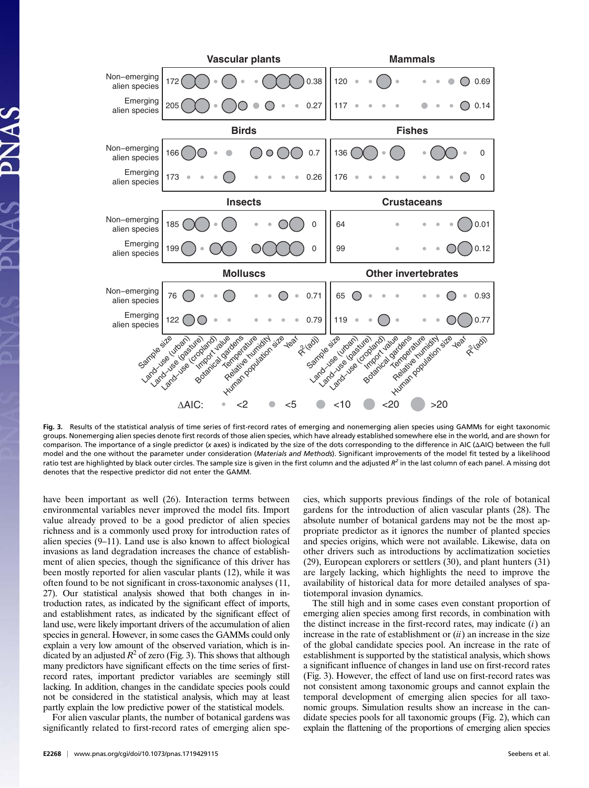

Fig. 3. Results of the statistical analysis of time series of first-record rates of emerging and nonemerging alien species using GAMMs for eight taxonomic groups. Nonemerging alien species denote first records of those alien species, which have already established somewhere else in the world, and are shown for comparison. The importance of a single predictor (x axes) is indicated by the size of the dots corresponding to the difference in AIC (ΔAIC) between the full model and the one without the parameter under consideration (Materials and Methods). Significant improvements of the model fit tested by a likelihood ratio test are highlighted by black outer circles. The sample size is given in the first column and the adjusted  $R^2$  in the last column of each panel. A missing dot denotes that the respective predictor did not enter the GAMM.

have been important as well (26). Interaction terms between environmental variables never improved the model fits. Import value already proved to be a good predictor of alien species richness and is a commonly used proxy for introduction rates of alien species (9–11). Land use is also known to affect biological invasions as land degradation increases the chance of establishment of alien species, though the significance of this driver has been mostly reported for alien vascular plants (12), while it was often found to be not significant in cross-taxonomic analyses (11, 27). Our statistical analysis showed that both changes in introduction rates, as indicated by the significant effect of imports, and establishment rates, as indicated by the significant effect of land use, were likely important drivers of the accumulation of alien species in general. However, in some cases the GAMMs could only explain a very low amount of the observed variation, which is indicated by an adjusted  $R^2$  of zero (Fig. 3). This shows that although many predictors have significant effects on the time series of firstrecord rates, important predictor variables are seemingly still lacking. In addition, changes in the candidate species pools could not be considered in the statistical analysis, which may at least partly explain the low predictive power of the statistical models.

For alien vascular plants, the number of botanical gardens was significantly related to first-record rates of emerging alien spegardens for the introduction of alien vascular plants (28). The absolute number of botanical gardens may not be the most appropriate predictor as it ignores the number of planted species and species origins, which were not available. Likewise, data on other drivers such as introductions by acclimatization societies (29), European explorers or settlers (30), and plant hunters (31) are largely lacking, which highlights the need to improve the availability of historical data for more detailed analyses of spatiotemporal invasion dynamics.

cies, which supports previous findings of the role of botanical

The still high and in some cases even constant proportion of emerging alien species among first records, in combination with the distinct increase in the first-record rates, may indicate  $(i)$  and increase in the rate of establishment or  $(ii)$  an increase in the size of the global candidate species pool. An increase in the rate of establishment is supported by the statistical analysis, which shows a significant influence of changes in land use on first-record rates (Fig. 3). However, the effect of land use on first-record rates was not consistent among taxonomic groups and cannot explain the temporal development of emerging alien species for all taxonomic groups. Simulation results show an increase in the candidate species pools for all taxonomic groups (Fig. 2), which can explain the flattening of the proportions of emerging alien species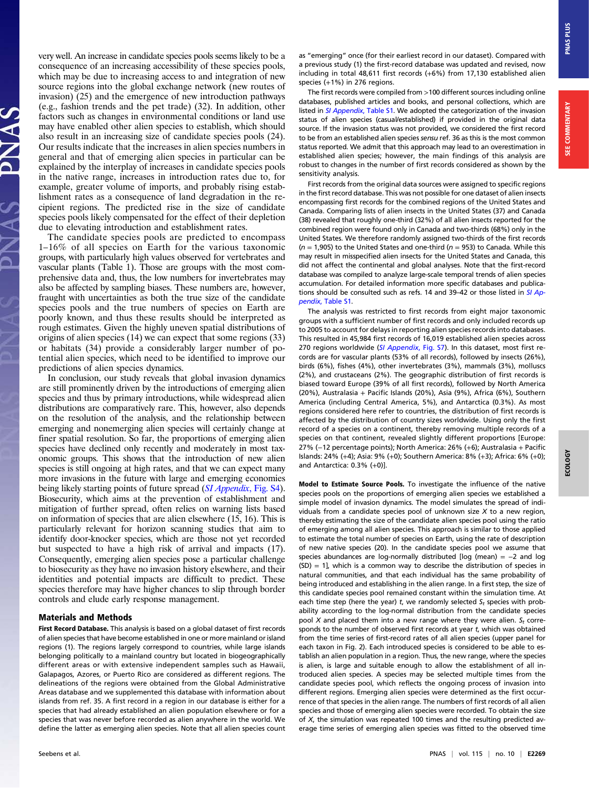very well. An increase in candidate species pools seems likely to be a consequence of an increasing accessibility of these species pools, which may be due to increasing access to and integration of new source regions into the global exchange network (new routes of invasion) (25) and the emergence of new introduction pathways (e.g., fashion trends and the pet trade) (32). In addition, other factors such as changes in environmental conditions or land use may have enabled other alien species to establish, which should also result in an increasing size of candidate species pools (24). Our results indicate that the increases in alien species numbers in general and that of emerging alien species in particular can be explained by the interplay of increases in candidate species pools in the native range, increases in introduction rates due to, for example, greater volume of imports, and probably rising establishment rates as a consequence of land degradation in the recipient regions. The predicted rise in the size of candidate species pools likely compensated for the effect of their depletion due to elevating introduction and establishment rates.

The candidate species pools are predicted to encompass 1–16% of all species on Earth for the various taxonomic groups, with particularly high values observed for vertebrates and vascular plants (Table 1). Those are groups with the most comprehensive data and, thus, the low numbers for invertebrates may also be affected by sampling biases. These numbers are, however, fraught with uncertainties as both the true size of the candidate species pools and the true numbers of species on Earth are poorly known, and thus these results should be interpreted as rough estimates. Given the highly uneven spatial distributions of origins of alien species (14) we can expect that some regions (33) or habitats (34) provide a considerably larger number of potential alien species, which need to be identified to improve our predictions of alien species dynamics.

In conclusion, our study reveals that global invasion dynamics are still prominently driven by the introductions of emerging alien species and thus by primary introductions, while widespread alien distributions are comparatively rare. This, however, also depends on the resolution of the analysis, and the relationship between emerging and nonemerging alien species will certainly change at finer spatial resolution. So far, the proportions of emerging alien species have declined only recently and moderately in most taxonomic groups. This shows that the introduction of new alien species is still ongoing at high rates, and that we can expect many more invasions in the future with large and emerging economies being likely starting points of future spread ([SI Appendix](http://www.pnas.org/lookup/suppl/doi:10.1073/pnas.1719429115/-/DCSupplemental), Fig. S4). Biosecurity, which aims at the prevention of establishment and mitigation of further spread, often relies on warning lists based on information of species that are alien elsewhere (15, 16). This is particularly relevant for horizon scanning studies that aim to identify door-knocker species, which are those not yet recorded but suspected to have a high risk of arrival and impacts (17). Consequently, emerging alien species pose a particular challenge to biosecurity as they have no invasion history elsewhere, and their identities and potential impacts are difficult to predict. These species therefore may have higher chances to slip through border controls and elude early response management.

## Materials and Methods

First Record Database. This analysis is based on a global dataset of first records of alien species that have become established in one or more mainland or island regions (1). The regions largely correspond to countries, while large islands belonging politically to a mainland country but located in biogeographically different areas or with extensive independent samples such as Hawaii, Galapagos, Azores, or Puerto Rico are considered as different regions. The delineations of the regions were obtained from the Global Administrative Areas database and we supplemented this database with information about islands from ref. 35. A first record in a region in our database is either for a species that had already established an alien population elsewhere or for a species that was never before recorded as alien anywhere in the world. We define the latter as emerging alien species. Note that all alien species count as "emerging" once (for their earliest record in our dataset). Compared with a previous study (1) the first-record database was updated and revised, now including in total 48,611 first records (+6%) from 17,130 established alien species (+1%) in 276 regions.

The first records were compiled from >100 different sources including online databases, published articles and books, and personal collections, which are listed in [SI Appendix](http://www.pnas.org/lookup/suppl/doi:10.1073/pnas.1719429115/-/DCSupplemental), Table S1. We adopted the categorization of the invasion status of alien species (casual/established) if provided in the original data source. If the invasion status was not provided, we considered the first record to be from an established alien species sensu ref. 36 as this is the most common status reported. We admit that this approach may lead to an overestimation in established alien species; however, the main findings of this analysis are robust to changes in the number of first records considered as shown by the sensitivity analysis.

First records from the original data sources were assigned to specific regions in the first record database. This was not possible for one dataset of alien insects encompassing first records for the combined regions of the United States and Canada. Comparing lists of alien insects in the United States (37) and Canada (38) revealed that roughly one-third (32%) of all alien insects reported for the combined region were found only in Canada and two-thirds (68%) only in the United States. We therefore randomly assigned two-thirds of the first records  $(n = 1,905)$  to the United States and one-third  $(n = 953)$  to Canada. While this may result in misspecified alien insects for the United States and Canada, this did not affect the continental and global analyses. Note that the first-record database was compiled to analyze large-scale temporal trends of alien species accumulation. For detailed information more specific databases and publica-tions should be consulted such as refs. 14 and 39-42 or those listed in [SI Ap](http://www.pnas.org/lookup/suppl/doi:10.1073/pnas.1719429115/-/DCSupplemental)pendix[, Table S1.](http://www.pnas.org/lookup/suppl/doi:10.1073/pnas.1719429115/-/DCSupplemental)

The analysis was restricted to first records from eight major taxonomic groups with a sufficient number of first records and only included records up to 2005 to account for delays in reporting alien species records into databases. This resulted in 45,984 first records of 16,019 established alien species across 270 regions worldwide ([SI Appendix](http://www.pnas.org/lookup/suppl/doi:10.1073/pnas.1719429115/-/DCSupplemental), Fig. S7). In this dataset, most first records are for vascular plants (53% of all records), followed by insects (26%), birds (6%), fishes (4%), other invertebrates (3%), mammals (3%), molluscs (2%), and crustaceans (2%). The geographic distribution of first records is biased toward Europe (39% of all first records), followed by North America (20%), Australasia + Pacific Islands (20%), Asia (9%), Africa (6%), Southern America (including Central America, 5%), and Antarctica (0.3%). As most regions considered here refer to countries, the distribution of first records is affected by the distribution of country sizes worldwide. Using only the first record of a species on a continent, thereby removing multiple records of a species on that continent, revealed slightly different proportions [Europe: 27% (−12 percentage points); North America: 26% (+6); Australasia + Pacific Islands: 24% (+4); Asia: 9% (+0); Southern America: 8% (+3); Africa: 6% (+0); and Antarctica: 0.3% (+0)].

Model to Estimate Source Pools. To investigate the influence of the native species pools on the proportions of emerging alien species we established a simple model of invasion dynamics. The model simulates the spread of individuals from a candidate species pool of unknown size  $X$  to a new region, thereby estimating the size of the candidate alien species pool using the ratio of emerging among all alien species. This approach is similar to those applied to estimate the total number of species on Earth, using the rate of description of new native species (20). In the candidate species pool we assume that species abundances are log-normally distributed [log (mean) = −2 and log  $(SD) = 1$ ], which is a common way to describe the distribution of species in natural communities, and that each individual has the same probability of being introduced and establishing in the alien range. In a first step, the size of this candidate species pool remained constant within the simulation time. At each time step (here the year) t, we randomly selected  $S_t$  species with probability according to the log-normal distribution from the candidate species pool X and placed them into a new range where they were alien.  $S_t$  corresponds to the number of observed first records at year t, which was obtained from the time series of first-record rates of all alien species (upper panel for each taxon in Fig. 2). Each introduced species is considered to be able to establish an alien population in a region. Thus, the new range, where the species is alien, is large and suitable enough to allow the establishment of all introduced alien species. A species may be selected multiple times from the candidate species pool, which reflects the ongoing process of invasion into different regions. Emerging alien species were determined as the first occurrence of that species in the alien range. The numbers of first records of all alien species and those of emerging alien species were recorded. To obtain the size of  $X$ , the simulation was repeated 100 times and the resulting predicted average time series of emerging alien species was fitted to the observed time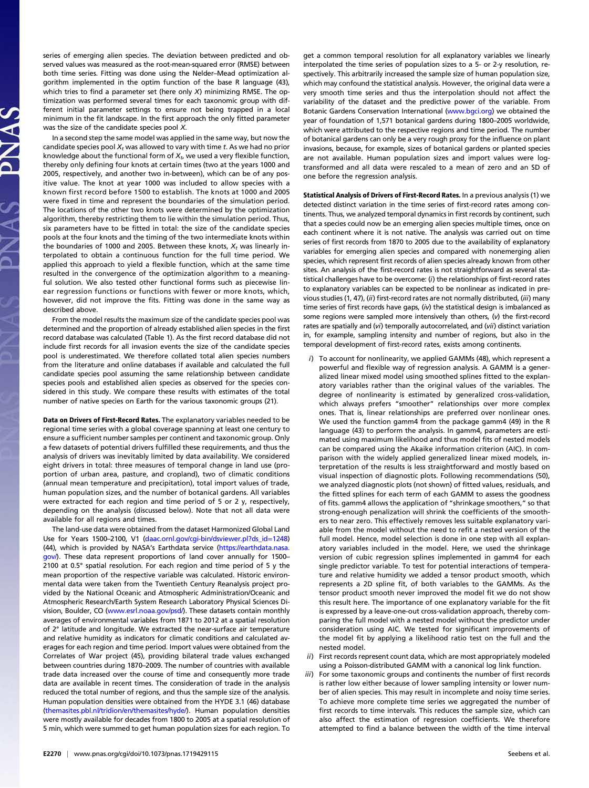series of emerging alien species. The deviation between predicted and observed values was measured as the root-mean-squared error (RMSE) between both time series. Fitting was done using the Nelder–Mead optimization algorithm implemented in the optim function of the base R language (43), which tries to find a parameter set (here only  $X$ ) minimizing RMSE. The optimization was performed several times for each taxonomic group with different initial parameter settings to ensure not being trapped in a local minimum in the fit landscape. In the first approach the only fitted parameter was the size of the candidate species pool X.

In a second step the same model was applied in the same way, but now the candidate species pool  $X_t$  was allowed to vary with time t. As we had no prior knowledge about the functional form of  $X_t$ , we used a very flexible function, thereby only defining four knots at certain times (two at the years 1000 and 2005, respectively, and another two in-between), which can be of any positive value. The knot at year 1000 was included to allow species with a known first record before 1500 to establish. The knots at 1000 and 2005 were fixed in time and represent the boundaries of the simulation period. The locations of the other two knots were determined by the optimization algorithm, thereby restricting them to lie within the simulation period. Thus, six parameters have to be fitted in total: the size of the candidate species pools at the four knots and the timing of the two intermediate knots within the boundaries of 1000 and 2005. Between these knots,  $X_t$  was linearly interpolated to obtain a continuous function for the full time period. We applied this approach to yield a flexible function, which at the same time resulted in the convergence of the optimization algorithm to a meaningful solution. We also tested other functional forms such as piecewise linear regression functions or functions with fewer or more knots, which, however, did not improve the fits. Fitting was done in the same way as described above.

From the model results the maximum size of the candidate species pool was determined and the proportion of already established alien species in the first record database was calculated (Table 1). As the first record database did not include first records for all invasion events the size of the candidate species pool is underestimated. We therefore collated total alien species numbers from the literature and online databases if available and calculated the full candidate species pool assuming the same relationship between candidate species pools and established alien species as observed for the species considered in this study. We compare these results with estimates of the total number of native species on Earth for the various taxonomic groups (21).

Data on Drivers of First-Record Rates. The explanatory variables needed to be regional time series with a global coverage spanning at least one century to ensure a sufficient number samples per continent and taxonomic group. Only a few datasets of potential drivers fulfilled these requirements, and thus the analysis of drivers was inevitably limited by data availability. We considered eight drivers in total: three measures of temporal change in land use (proportion of urban area, pasture, and cropland), two of climatic conditions (annual mean temperature and precipitation), total import values of trade, human population sizes, and the number of botanical gardens. All variables were extracted for each region and time period of 5 or 2 y, respectively, depending on the analysis (discussed below). Note that not all data were available for all regions and times.

The land-use data were obtained from the dataset Harmonized Global Land Use for Years 1500–2100, V1 [\(daac.ornl.gov/cgi-bin/dsviewer.pl?ds\\_id](http://daac.ornl.gov/cgi-bin/dsviewer.pl?ds_id=1248)=1248) (44), which is provided by NASA's Earthdata service ([https://earthdata.nasa.](https://earthdata.nasa.gov/) [gov/](https://earthdata.nasa.gov/)). These data represent proportions of land cover annually for 1500-2100 at 0.5° spatial resolution. For each region and time period of 5 y the mean proportion of the respective variable was calculated. Historic environmental data were taken from the Twentieth Century Reanalysis project provided by the National Oceanic and Atmospheric Administration/Oceanic and Atmospheric Research/Earth System Research Laboratory Physical Sciences Di-vision, Boulder, CO [\(www.esrl.noaa.gov/psd/\)](http://www.esrl.noaa.gov/psd/). These datasets contain monthly averages of environmental variables from 1871 to 2012 at a spatial resolution of 2° latitude and longitude. We extracted the near-surface air temperature and relative humidity as indicators for climatic conditions and calculated averages for each region and time period. Import values were obtained from the Correlates of War project (45), providing bilateral trade values exchanged between countries during 1870–2009. The number of countries with available trade data increased over the course of time and consequently more trade data are available in recent times. The consideration of trade in the analysis reduced the total number of regions, and thus the sample size of the analysis. Human population densities were obtained from the HYDE 3.1 (46) database [\(themasites.pbl.nl/tridion/en/themasites/hyde/](http://themasites.pbl.nl/tridion/en/themasites/hyde/)). Human population densities were mostly available for decades from 1800 to 2005 at a spatial resolution of 5 min, which were summed to get human population sizes for each region. To get a common temporal resolution for all explanatory variables we linearly interpolated the time series of population sizes to a 5- or 2-y resolution, respectively. This arbitrarily increased the sample size of human population size, which may confound the statistical analysis. However, the original data were a very smooth time series and thus the interpolation should not affect the variability of the dataset and the predictive power of the variable. From Botanic Gardens Conservation International [\(www.bgci.org\)](http://www.bgci.org/) we obtained the year of foundation of 1,571 botanical gardens during 1800–2005 worldwide, which were attributed to the respective regions and time period. The number of botanical gardens can only be a very rough proxy for the influence on plant invasions, because, for example, sizes of botanical gardens or planted species are not available. Human population sizes and import values were logtransformed and all data were rescaled to a mean of zero and an SD of one before the regression analysis.

Statistical Analysis of Drivers of First-Record Rates. In a previous analysis (1) we detected distinct variation in the time series of first-record rates among continents. Thus, we analyzed temporal dynamics in first records by continent, such that a species could now be an emerging alien species multiple times, once on each continent where it is not native. The analysis was carried out on time series of first records from 1870 to 2005 due to the availability of explanatory variables for emerging alien species and compared with nonemerging alien species, which represent first records of alien species already known from other sites. An analysis of the first-record rates is not straightforward as several statistical challenges have to be overcome: (i) the relationships of first-record rates to explanatory variables can be expected to be nonlinear as indicated in previous studies (1, 47), (ii) first-record rates are not normally distributed, (iii) many time series of first records have gaps,  $(iv)$  the statistical design is imbalanced as some regions were sampled more intensively than others, (v) the first-record rates are spatially and (vi) temporally autocorrelated, and (vii) distinct variation in, for example, sampling intensity and number of regions, but also in the temporal development of first-record rates, exists among continents.

- i) To account for nonlinearity, we applied GAMMs (48), which represent a powerful and flexible way of regression analysis. A GAMM is a generalized linear mixed model using smoothed splines fitted to the explanatory variables rather than the original values of the variables. The degree of nonlinearity is estimated by generalized cross-validation, which always prefers "smoother" relationships over more complex ones. That is, linear relationships are preferred over nonlinear ones. We used the function gamm4 from the package gamm4 (49) in the R language (43) to perform the analysis. In gamm4, parameters are estimated using maximum likelihood and thus model fits of nested models can be compared using the Akaike information criterion (AIC). In comparison with the widely applied generalized linear mixed models, interpretation of the results is less straightforward and mostly based on visual inspection of diagnostic plots. Following recommendations (50), we analyzed diagnostic plots (not shown) of fitted values, residuals, and the fitted splines for each term of each GAMM to assess the goodness of fits. gamm4 allows the application of "shrinkage smoothers," so that strong-enough penalization will shrink the coefficients of the smoothers to near zero. This effectively removes less suitable explanatory variable from the model without the need to refit a nested version of the full model. Hence, model selection is done in one step with all explanatory variables included in the model. Here, we used the shrinkage version of cubic regression splines implemented in gamm4 for each single predictor variable. To test for potential interactions of temperature and relative humidity we added a tensor product smooth, which represents a 2D spline fit, of both variables to the GAMMs. As the tensor product smooth never improved the model fit we do not show this result here. The importance of one explanatory variable for the fit is expressed by a leave-one-out cross-validation approach, thereby comparing the full model with a nested model without the predictor under consideration using AIC. We tested for significant improvements of the model fit by applying a likelihood ratio test on the full and the nested model.
- ii) First records represent count data, which are most appropriately modeled using a Poisson-distributed GAMM with a canonical log link function.
- iii) For some taxonomic groups and continents the number of first records is rather low either because of lower sampling intensity or lower number of alien species. This may result in incomplete and noisy time series. To achieve more complete time series we aggregated the number of first records to time intervals. This reduces the sample size, which can also affect the estimation of regression coefficients. We therefore attempted to find a balance between the width of the time interval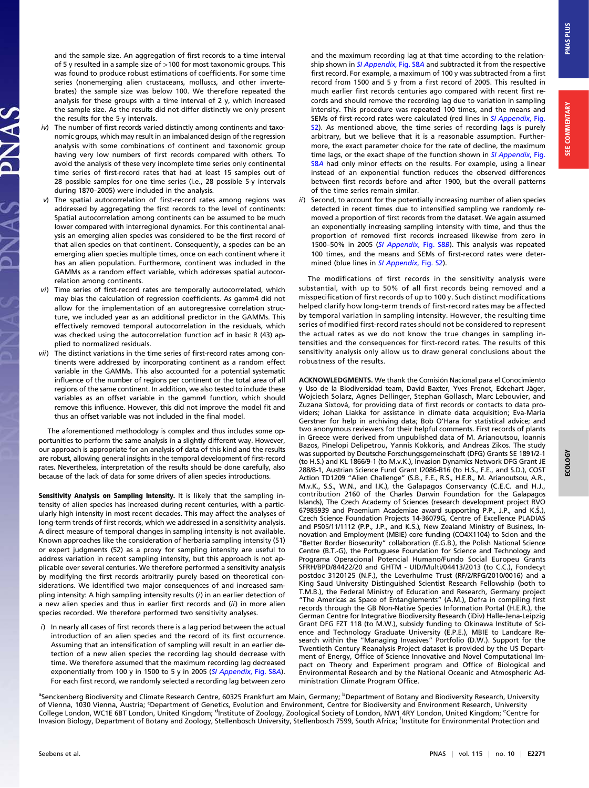and the sample size. An aggregation of first records to a time interval of 5 y resulted in a sample size of >100 for most taxonomic groups. This was found to produce robust estimations of coefficients. For some time series (nonemerging alien crustaceans, molluscs, and other invertebrates) the sample size was below 100. We therefore repeated the analysis for these groups with a time interval of 2 y, which increased the sample size. As the results did not differ distinctly we only present the results for the 5-y intervals.

- $iv)$  The number of first records varied distinctly among continents and taxonomic groups, which may result in an imbalanced design of the regression analysis with some combinations of continent and taxonomic group having very low numbers of first records compared with others. To avoid the analysis of these very incomplete time series only continental time series of first-record rates that had at least 15 samples out of 28 possible samples for one time series (i.e., 28 possible 5-y intervals during 1870–2005) were included in the analysis.
- v) The spatial autocorrelation of first-record rates among regions was addressed by aggregating the first records to the level of continents: Spatial autocorrelation among continents can be assumed to be much lower compared with interregional dynamics. For this continental analysis an emerging alien species was considered to be the first record of that alien species on that continent. Consequently, a species can be an emerging alien species multiple times, once on each continent where it has an alien population. Furthermore, continent was included in the GAMMs as a random effect variable, which addresses spatial autocorrelation among continents.
- vi) Time series of first-record rates are temporally autocorrelated, which may bias the calculation of regression coefficients. As gamm4 did not allow for the implementation of an autoregressive correlation structure, we included year as an additional predictor in the GAMMs. This effectively removed temporal autocorrelation in the residuals, which was checked using the autocorrelation function acf in basic R (43) applied to normalized residuals.
- vii) The distinct variations in the time series of first-record rates among continents were addressed by incorporating continent as a random effect variable in the GAMMs. This also accounted for a potential systematic influence of the number of regions per continent or the total area of all regions of the same continent. In addition, we also tested to include these variables as an offset variable in the gamm4 function, which should remove this influence. However, this did not improve the model fit and thus an offset variable was not included in the final model.

The aforementioned methodology is complex and thus includes some opportunities to perform the same analysis in a slightly different way. However, our approach is appropriate for an analysis of data of this kind and the results are robust, allowing general insights in the temporal development of first-record rates. Nevertheless, interpretation of the results should be done carefully, also because of the lack of data for some drivers of alien species introductions.

Sensitivity Analysis on Sampling Intensity. It is likely that the sampling intensity of alien species has increased during recent centuries, with a particularly high intensity in most recent decades. This may affect the analyses of long-term trends of first records, which we addressed in a sensitivity analysis. A direct measure of temporal changes in sampling intensity is not available. Known approaches like the consideration of herbaria sampling intensity (51) or expert judgments (52) as a proxy for sampling intensity are useful to address variation in recent sampling intensity, but this approach is not applicable over several centuries. We therefore performed a sensitivity analysis by modifying the first records arbitrarily purely based on theoretical considerations. We identified two major consequences of and increased sampling intensity: A high sampling intensity results (i) in an earlier detection of a new alien species and thus in earlier first records and (ii) in more alien species recorded. We therefore performed two sensitivity analyses.

i) In nearly all cases of first records there is a lag period between the actual introduction of an alien species and the record of its first occurrence. Assuming that an intensification of sampling will result in an earlier detection of a new alien species the recording lag should decrease with time. We therefore assumed that the maximum recording lag decreased exponentially from 100 y in 1500 to 5 y in 2005 ([SI Appendix](http://www.pnas.org/lookup/suppl/doi:10.1073/pnas.1719429115/-/DCSupplemental), Fig. S8A). For each first record, we randomly selected a recording lag between zero

and the maximum recording lag at that time according to the relation-ship shown in [SI Appendix](http://www.pnas.org/lookup/suppl/doi:10.1073/pnas.1719429115/-/DCSupplemental), Fig. S8A and subtracted it from the respective first record. For example, a maximum of 100 y was subtracted from a first record from 1500 and 5 y from a first record of 2005. This resulted in much earlier first records centuries ago compared with recent first records and should remove the recording lag due to variation in sampling intensity. This procedure was repeated 100 times, and the means and SEMs of first-record rates were calculated (red lines in [SI Appendix](http://www.pnas.org/lookup/suppl/doi:10.1073/pnas.1719429115/-/DCSupplemental), Fig. [S2](http://www.pnas.org/lookup/suppl/doi:10.1073/pnas.1719429115/-/DCSupplemental)). As mentioned above, the time series of recording lags is purely arbitrary, but we believe that it is a reasonable assumption. Furthermore, the exact parameter choice for the rate of decline, the maximum time lags, or the exact shape of the function shown in [SI Appendix](http://www.pnas.org/lookup/suppl/doi:10.1073/pnas.1719429115/-/DCSupplemental), Fig. [S8](http://www.pnas.org/lookup/suppl/doi:10.1073/pnas.1719429115/-/DCSupplemental)A had only minor effects on the results. For example, using a linear instead of an exponential function reduces the observed differences between first records before and after 1900, but the overall patterns of the time series remain similar.

ii) Second, to account for the potentially increasing number of alien species detected in recent times due to intensified sampling we randomly removed a proportion of first records from the dataset. We again assumed an exponentially increasing sampling intensity with time, and thus the proportion of removed first records increased likewise from zero in 1500-50% in 2005 ([SI Appendix](http://www.pnas.org/lookup/suppl/doi:10.1073/pnas.1719429115/-/DCSupplemental), Fig. S8B). This analysis was repeated 100 times, and the means and SEMs of first-record rates were deter-mined (blue lines in [SI Appendix](http://www.pnas.org/lookup/suppl/doi:10.1073/pnas.1719429115/-/DCSupplemental), Fig. S2).

The modifications of first records in the sensitivity analysis were substantial, with up to 50% of all first records being removed and a misspecification of first records of up to 100 y. Such distinct modifications helped clarify how long-term trends of first-record rates may be affected by temporal variation in sampling intensity. However, the resulting time series of modified first-record rates should not be considered to represent the actual rates as we do not know the true changes in sampling intensities and the consequences for first-record rates. The results of this sensitivity analysis only allow us to draw general conclusions about the robustness of the results.

ACKNOWLEDGMENTS. We thank the Comisión Nacional para el Conocimiento y Uso de la Biodiversidad team, David Baxter, Yves Frenot, Eckehart Jäger, Wojciech Solarz, Agnes Dellinger, Stephan Gollasch, Marc Lebouvier, and Zuzana Sixtová, for providing data of first records or contacts to data providers; Johan Liakka for assistance in climate data acquisition; Eva-Maria Gerstner for help in archiving data; Bob O'Hara for statistical advice; and two anonymous reviewers for their helpful comments. First records of plants in Greece were derived from unpublished data of M. Arianoutsou, Ioannis Bazos, Pinelopi Delipetrou, Yannis Kokkoris, and Andreas Zikos. The study was supported by Deutsche Forschungsgemeinschaft (DFG) Grants SE 1891/2-1 (to H.S.) and KL 1866/9-1 (to M.v.K.), Invasion Dynamics Network DFG Grant JE 288/8-1, Austrian Science Fund Grant I2086-B16 (to H.S., F.E., and S.D.), COST Action TD1209 "Alien Challenge" (S.B., F.E., R.S., H.E.R., M. Arianoutsou, A.R., M.v.K., S.S., W.N., and I.K.), the Galapagos Conservancy (C.E.C. and H.J., contribution 2160 of the Charles Darwin Foundation for the Galapagos Islands), The Czech Academy of Sciences (research development project RVO 67985939 and Praemium Academiae award supporting P.P., J.P., and K.S.), Czech Science Foundation Projects 14-36079G, Centre of Excellence PLADIAS and P505/11/1112 (P.P., J.P., and K.S.), New Zealand Ministry of Business, Innovation and Employment (MBIE) core funding (CO4X1104) to Scion and the "Better Border Biosecurity" collaboration (E.G.B.), the Polish National Science Centre (B.T.-G), the Portuguese Foundation for Science and Technology and Programa Operacional Potencial Humano/Fundo Social Europeu Grants SFRH/BPD/84422/20 and GHTM - UID/Multi/04413/2013 (to C.C.), Fondecyt postdoc 3120125 (N.F.), the Leverhulme Trust (RF/2/RFG/2010/0016) and a King Saud University Distinguished Scientist Research Fellowship (both to T.M.B.), the Federal Ministry of Education and Research, Germany project "The Americas as Space of Entanglements" (A.M.), Defra in compiling first records through the GB Non-Native Species Information Portal (H.E.R.), the German Centre for Integrative Biodiversity Research (iDiv) Halle-Jena-Leipzig Grant DFG FZT 118 (to M.W.), subsidy funding to Okinawa Institute of Science and Technology Graduate University (E.P.E.), MBIE to Landcare Research within the "Managing Invasives" Portfolio (D.W.). Support for the Twentieth Century Reanalysis Project dataset is provided by the US Department of Energy, Office of Science Innovative and Novel Computational Impact on Theory and Experiment program and Office of Biological and Environmental Research and by the National Oceanic and Atmospheric Administration Climate Program Office.

<sup>a</sup>Senckenberg Biodiversity and Climate Research Centre, 60325 Frankfurt am Main, Germany; <sup>b</sup>Department of Botany and Biodiversity Research, University of Vienna, 1030 Vienna, Austria; <sup>c</sup>Department of Genetics, Evolution and Environment, Centre for Biodiversity and Environment Research, University<br>College London, WC1E 6BT London, United Kingdom; <sup>d</sup>Institute of Zoology, Invasion Biology, Department of Botany and Zoology, Stellenbosch University, Stellenbosch 7599, South Africa; <sup>f</sup> Institute for Environmental Protection and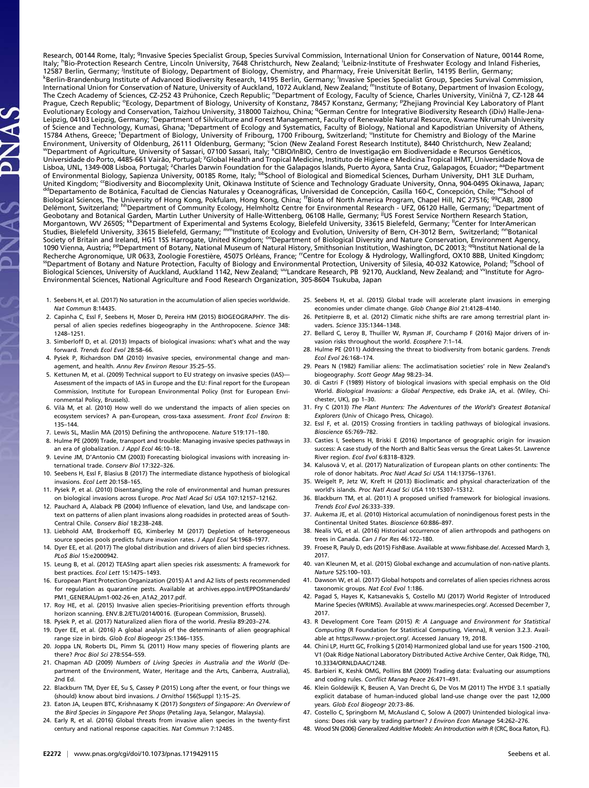Research, 00144 Rome, Italy; <sup>g</sup>Invasive Species Specialist Group, Species Survival Commission, International Union for Conservation of Nature, 00144 Rome,<br>Italy; <sup>h</sup>Bio-Protection Research Centre, Lincoln University, 7648 12587 Berlin, Germany; <sup>j</sup>Institute of Biology, Department of Biology, Chemistry, and Pharmacy, Freie Universität Berlin, 14195 Berlin, Germany;<br>KBerlin-Brandenburg Institute of Advanced Biodiversity Besearch, 14195 Berlin <sup>k</sup>Berlin-Brandenburg Institute of Advanced Biodiversity Research, 14195 Berlin, Germany; <sup>I</sup>Invasive Specialss Specialist Group, Species Survival Commission,<br>International Union for Conservation of Nature, University of A Prague, Czech Republic; <sup>o</sup>Ecology, Department of Biology, University of Konstanz, 78457 Konstanz, Germany; <sup>p</sup>Zhejiang Provincial Key Laboratory of Plant<br>Evolutionary Ecology and Conservation, Taizhou University, 318000 T Leipzig, 04103 Leipzig, Germany; <sup>r</sup>Department of Silviculture and Forest Management, Faculty of Renewable Natural Resource, Kwame Nkrumah University of Science and Technology, Kumasi, Ghana; SDepartment of Ecology and Systematics, Faculty of Biology, National and Kapodistrian University of Athens, 15784 Athens, Greece; <sup>t</sup>Department of Biology, University of Fribourg, 1700 Fribourg, Switzerland; "Institute for Chemistry and Biology of the Marine Environment, University of Oldenburg, 26111 Oldenburg, Germany; <sup>v</sup>Scion (New Zealand Forest Research Institute), 8440 Christchurch, New Zealand;<br><sup>w</sup>Department of Agriculture, University of Sassari, 07100 Sassari, Italy; <sup></sup> Universidade do Porto, 4485-661 Vairão, Portugal; <sup>y</sup>Global Health and Tropical Medicine, Instituto de Higiene e Medicina Tropical IHMT, Universidade Nova de Lisboa, UNL, 1349-008 Lisboa, Portugal; <sup>z</sup>Charles Darwin Foundation for the Galapagos Islands, Puerto Ayora, Santa Cruz, Galapagos, Ecuador; <sup>aa</sup>Department<br>of Environmental Biology, Sapienza University, 00185 Rome, Italy; United Kingdom; "Biodiversity and Biocomplexity Unit, Okinawa Institute of Science and Technology Graduate University, Onna, 904-0495 Okinawa, Japan;<br>departamento de Botánica, Facultad de Ciencias Naturales y Oceanográfica Biological Sciences, The University of Hong Kong, Pokfulam, Hong Kong, China; <sup>ff</sup>Biota of North America Program, Chapel Hill, NC 27516; <sup>gg</sup>CABl, 2800<br>Delémont, Switzerland; <sup>hh</sup>Department of Community Ecology, Helmholtz Biological Sciences, University of Auckland, Auckland 1142, New Zealand; <sup>uu</sup>Landcare Research, PB 92170, Auckland, New Zealand; and <sup>v</sup>institute for Agro-Biological Sciences, University of Auckland, Auckland, Auckland, Au Environmental Sciences, National Agriculture and Food Research Organization, 305-8604 Tsukuba, Japan

- 1. Seebens H, et al. (2017) No saturation in the accumulation of alien species worldwide. Nat Commun 8:14435.
- 2. Capinha C, Essl F, Seebens H, Moser D, Pereira HM (2015) BIOGEOGRAPHY. The dispersal of alien species redefines biogeography in the Anthropocene. Science 348: 1248–1251.
- 3. Simberloff D, et al. (2013) Impacts of biological invasions: what's what and the way forward. Trends Ecol Evol 28:58–66.
- 4. Pysek P, Richardson DM (2010) Invasive species, environmental change and management, and health. Annu Rev Environ Resour 35:25–55.
- 5. Kettunen M, et al. (2009) Technical support to EU strategy on invasive species (IAS)— Assessment of the impacts of IAS in Europe and the EU: Final report for the European Commission, Institute for European Environmental Policy (Inst for European Environmental Policy, Brussels).
- 6. Vilà M, et al. (2010) How well do we understand the impacts of alien species on ecosystem services? A pan-European, cross-taxa assessment. Front Ecol Environ 8: 135–144.
- 7. Lewis SL, Maslin MA (2015) Defining the anthropocene. Nature 519:171–180.
- 8. Hulme PE (2009) Trade, transport and trouble: Managing invasive species pathways in
- an era of globalization. J Appl Ecol 46:10-18. 9. Levine JM, D'Antonio CM (2003) Forecasting biological invasions with increasing in-
- ternational trade. Conserv Biol 17:322–326. 10. Seebens H, Essl F, Blasius B (2017) The intermediate distance hypothesis of biological invasions. Ecol Lett 20:158–165.
- 11. Pysek P, et al. (2010) Disentangling the role of environmental and human pressures on biological invasions across Europe. Proc Natl Acad Sci USA 107:12157-12162.
- 12. Pauchard A, Alaback PB (2004) Influence of elevation, land Use, and landscape context on patterns of alien plant invasions along roadsides in protected areas of South-Central Chile. Conserv Biol 18:238–248.
- 13. Liebhold AM, Brockerhoff EG, Kimberley M (2017) Depletion of heterogeneous source species pools predicts future invasion rates. J Appl Ecol 54:1968-1977.
- 14. Dyer EE, et al. (2017) The global distribution and drivers of alien bird species richness. PLoS Biol 15:e2000942.
- 15. Leung B, et al. (2012) TEASIng apart alien species risk assessments: A framework for best practices. Ecol Lett 15:1475–1493.
- 16. European Plant Protection Organization (2015) A1 and A2 lists of pests recommended for regulation as quarantine pests. Available at [archives.eppo.int/EPPOStandards/](http://archives.eppo.int/EPPOStandards/PM1_GENERAL/pm1-002-26-en_A1A2_2017.pdf) [PM1\\_GENERAL/pm1-002-26-en\\_A1A2\\_2017.pdf.](http://archives.eppo.int/EPPOStandards/PM1_GENERAL/pm1-002-26-en_A1A2_2017.pdf)
- 17. Roy HE, et al. (2015) Invasive alien species–Prioritising prevention efforts through horizon scanning. ENV.B.2/ETU/2014/0016. (European Commission, Brussels).
- 18. Pysek P, et al. (2017) Naturalized alien flora of the world. Preslia 89:203–274.
- 19. Dyer EE, et al. (2016) A global analysis of the determinants of alien geographical range size in birds. Glob Ecol Biogeogr 25:1346–1355.
- 20. Joppa LN, Roberts DL, Pimm SL (2011) How many species of flowering plants are there? Proc Biol Sci 278:554–559.
- 21. Chapman AD (2009) Numbers of Living Species in Australia and the World (Department of the Environment, Water, Heritage and the Arts, Canberra, Australia), 2nd Ed.
- 22. Blackburn TM, Dyer EE, Su S, Cassey P (2015) Long after the event, or four things we (should) know about bird invasions. J Ornithol 156(Suppl 1):15–25.
- 23. Eaton JA, Leupen BTC, Krishnasamy K (2017) Songsters of Singapore: An Overview of the Bird Species in Singapore Pet Shops (Petaling Jaya, Selangor, Malaysia).
- 24. Early R, et al. (2016) Global threats from invasive alien species in the twenty-first century and national response capacities. Nat Commun 7:12485.
- 25. Seebens H, et al. (2015) Global trade will accelerate plant invasions in emerging economies under climate change. Glob Change Biol 21:4128–4140.
- 26. Petitpierre B, et al. (2012) Climatic niche shifts are rare among terrestrial plant invaders. Science 335:1344–1348.
- 27. Bellard C, Leroy B, Thuiller W, Rysman JF, Courchamp F (2016) Major drivers of invasion risks throughout the world. Ecosphere 7:1–14.
- 28. Hulme PE (2011) Addressing the threat to biodiversity from botanic gardens. Trends Ecol Evol 26:168–174.
- 29. Pears N (1982) Familiar aliens: The acclimatisation societies' role in New Zealand's biogeography. Scott Geogr Mag 98:23–34.
- 30. di Castri F (1989) History of biological invasions with special emphasis on the Old World. Biological Invasions: a Global Perspective, eds Drake JA, et al. (Wiley, Chichester, UK), pp 1–30.
- 31. Fry C (2013) The Plant Hunters: The Adventures of the World's Greatest Botanical Explorers (Univ of Chicago Press, Chicago).
- 32. Essl F, et al. (2015) Crossing frontiers in tackling pathways of biological invasions. Bioscience 65:769–782.
- 33. Casties I, Seebens H, Briski E (2016) Importance of geographic origin for invasion success: A case study of the North and Baltic Seas versus the Great Lakes-St. Lawrence River region. Ecol Evol 6:8318–8329.
- 34. Kalusová V, et al. (2017) Naturalization of European plants on other continents: The role of donor habitats. Proc Natl Acad Sci USA 114:13756–13761.
- 35. Weigelt P, Jetz W, Kreft H (2013) Bioclimatic and physical characterization of the world's islands. Proc Natl Acad Sci USA 110:15307–15312.
- 36. Blackburn TM, et al. (2011) A proposed unified framework for biological invasions. Trends Ecol Evol 26:333–339.
- 37. Aukema JE, et al. (2010) Historical accumulation of nonindigenous forest pests in the Continental United States. Bioscience 60:886–897.
- 38. Nealis VG, et al. (2016) Historical occurrence of alien arthropods and pathogens on trees in Canada. Can J For Res 46:172–180.
- 39. Froese R, Pauly D, eds (2015) FishBase. Available at [www.fishbase.de/](http://www.fishbase.de/). Accessed March 3, 2017.
- 40. van Kleunen M, et al. (2015) Global exchange and accumulation of non-native plants. Nature 525:100–103.
- 41. Dawson W, et al. (2017) Global hotspots and correlates of alien species richness across taxonomic groups. Nat Ecol Evol 1:186.
- 42. Pagad S, Hayes K, Katsanevakis S, Costello MJ (2017) World Register of Introduced Marine Species (WRIMS). Available at [www.marinespecies.org/](http://www.marinespecies.org/). Accessed December 7, 2017.
- 43. R Development Core Team (2015) R: A Language and Environment for Statistical Computing (R Foundation for Statistical Computing, Vienna), R version 3.2.3. Available at [https://www.r-project.org/.](https://www.r-project.org/) Accessed January 19, 2018.
- 44. Chini LP, Hurtt GC, Frolking S (2014) Harmonized global land use for years 1500 -2100, V1 (Oak Ridge National Laboratory Distributed Active Archive Center, Oak Ridge, TN), 10.3334/ORNLDAAC/1248.
- 45. Barbieri K, Keshk OMG, Pollins BM (2009) Trading data: Evaluating our assumptions and coding rules. Conflict Manag Peace 26:471–491.
- 46. Klein Goldewijk K, Beusen A, Van Drecht G, De Vos M (2011) The HYDE 3.1 spatially explicit database of human-induced global land-use change over the past 12,000 years. Glob Ecol Biogeogr 20:73–86.
- 47. Costello C, Springborn M, McAusland C, Solow A (2007) Unintended biological invasions: Does risk vary by trading partner? J Environ Econ Manage 54:262–276.
- 48. Wood SN (2006) Generalized Additive Models: An Introduction with R (CRC, Boca Raton, FL).